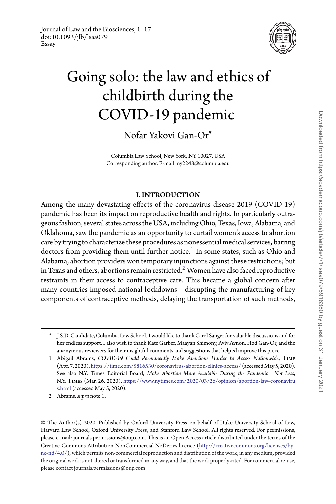

# Going solo: the law and ethics of childbirth during the COVID-19 pandemic

Nofar Yakovi Gan-Or\*

Columbia Law School, New York, NY 10027, USA Corresponding author. E-mail: ny2248@columbia.edu

## I. INTRODUCTION

Among the many devastating effects of the coronavirus disease 2019 (COVID-19) pandemic has been its impact on reproductive health and rights. In particularly outrageous fashion, several states acrossthe USA, including Ohio, Texas, Iowa, Alabama, and Oklahoma, saw the pandemic as an opportunity to curtail women's access to abortion care by trying to characterize these procedures as nonessential medical services, barring doctors from providing them until further notice.<sup>[1](#page-0-0)</sup> In some states, such as Ohio and Alabama, abortion providers won temporary injunctions against these restrictions; but in Texas and others, abortions remain restricted.<sup>2</sup> Women have also faced reproductive restraints in their access to contraceptive care. This became a global concern after many countries imposed national lockdowns—disrupting the manufacturing of key components of contraceptive methods, delaying the transportation of such methods,

<span id="page-0-1"></span>2 Abrams, *supra* note 1.

<sup>\*</sup> J.S.D. Candidate, Columbia Law School. I would like to thank Carol Sanger for valuable discussions and for her endless support. I also wish to thank Kate Garber, Maayan Shimony, Aviv Avnon, Hod Gan-Or, and the anonymous reviewers for their insightful comments and suggestions that helped improve this piece.

<span id="page-0-0"></span><sup>1</sup> Abigail Abrams, *COVID-19 Could Permanently Make Abortions Harder to Access Nationwide*, Time (Apr. 7, 2020), <https://time.com/5816530/coronavirus-abortion-clinics-access/> (accessedMay 5, 2020). See also N.Y. Times Editorial Board, *Make Abortion More Available During the Pandemic—Not Less*, N.Y. Times (Mar. 26, 2020), [https://www.nytimes.com/2020/03/26/opinion/abortion-law-coronaviru](https://www.nytimes.com/2020/03/26/opinion/abortion-law-coronavirus.html) [s.html](https://www.nytimes.com/2020/03/26/opinion/abortion-law-coronavirus.html) (accessed May 5, 2020).

<sup>©</sup> The Author(s) 2020. Published by Oxford University Press on behalf of Duke University School of Law, Harvard Law School, Oxford University Press, and Stanford Law School. All rights reserved. For permissions, please e-mail: journals.permissions@oup.com. This is an Open Access article distributed under the terms of the Creative Commons Attribution NonCommercial-NoDerivs licence [\(http://creativecommons.org/licenses/by](http://creativecommons.org/licenses/by-nc-nd/4.0/)[nc-nd/4.0/\)](http://creativecommons.org/licenses/by-nc-nd/4.0/), which permits non-commercial reproduction and distribution of the work, in any medium, provided the original work is not altered or transformed in any way, and that the work properly cited. For commercial re-use, please contact journals.permissions@oup.com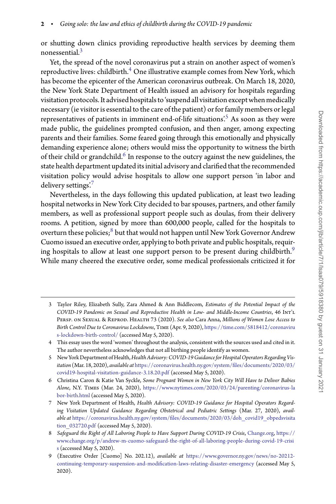or shutting down clinics providing reproductive health services by deeming them nonessential[.3](#page-1-0)

Yet, the spread of the novel coronavirus put a strain on another aspect of women's reproductive lives: childbirth. $4$  One illustrative example comes from New York, which has become the epicenter of the American coronavirus outbreak. On March 18, 2020, the New York State Department of Health issued an advisory for hospitals regarding visitation protocols. It advised hospitals to 'suspend all visitation except when medically necessary (ie visitor is essential to the care of the patient) or for family members or legal representatives of patients in imminent end-of-life situations'.<sup>[5](#page-1-2)</sup> As soon as they were made public, the guidelines prompted confusion, and then anger, among expecting parents and their families. Some feared going through this emotionally and physically demanding experience alone; others would miss the opportunity to witness the birth of their child or grandchild.<sup>6</sup> In response to the outcry against the new guidelines, the state health department updated its initial advisory and clarified that the recommended visitation policy would advise hospitals to allow one support person 'in labor and delivery settings.<sup>77</sup>

Nevertheless, in the days following this updated publication, at least two leading hospital networks in New York City decided to bar spouses, partners, and other family members, as well as professional support people such as doulas, from their delivery rooms. A petition, signed by more than 600,000 people, called for the hospitals to overturn these policies;<sup>8</sup> but that would not happen until New York Governor Andrew Cuomo issued an executive order, applying to both private and public hospitals, requiring hospitals to allow at least one support person to be present during childbirth.<sup>9</sup> While many cheered the executive order, some medical professionals criticized it for

<span id="page-1-0"></span>3 Taylor Riley, Elizabeth Sully, Zara Ahmed & Ann Biddlecom, *Estimates of the Potential Impact of the COVID-19 Pandemic on Sexual and Reproductive Health in Low- and Middle-Income Countries*, 46 Int'l Persp. on Sexual & Reprod. Health 73 (2020). *See also* Cara Anna, *Millions of Women Lose Access to Birth Control Due to Coronavirus Lockdowns*, Time (Apr. 9, 2020), [https://time.com/5818412/coronaviru](https://time.com/5818412/coronavirus-lockdown-birth-control/) [s-lockdown-birth-control/](https://time.com/5818412/coronavirus-lockdown-birth-control/) (accessed May 5, 2020).

<span id="page-1-1"></span><sup>4</sup> This essay uses the word 'women' throughout the analysis, consistent with the sources used and cited in it. The author nevertheless acknowledges that not all birthing people identify as women.

<span id="page-1-2"></span><sup>5</sup> New York Department of Health,*Health Advisory: COVID-19 Guidance for HospitalOperators Regarding Visitation* (Mar. 18, 2020), *available at* [https://coronavirus.health.ny.gov/system/files/documents/2020/03/](https://coronavirus.health.ny.gov/system/files/documents/2020/03/covid19-hospital-visitation-guidance-3.18.20.pdf) [covid19-hospital-visitation-guidance-3.18.20.pdf](https://coronavirus.health.ny.gov/system/files/documents/2020/03/covid19-hospital-visitation-guidance-3.18.20.pdf) (accessed May 5, 2020).

<span id="page-1-3"></span><sup>6</sup> Christina Caron & Katie Van Syckle, *Some Pregnant Women in New York City Will Have to Deliver Babies Alone*, N.Y. Times (Mar. 24, 2020), [https://www.nytimes.com/2020/03/24/parenting/coronavirus-la](https://www.nytimes.com/2020/03/24/parenting/coronavirus-labor-birth.html) [bor-birth.html](https://www.nytimes.com/2020/03/24/parenting/coronavirus-labor-birth.html) (accessed May 5, 2020).

<span id="page-1-4"></span><sup>7</sup> New York Department of Health, *Health Advisory: COVID-19 Guidance for Hospital Operators Regarding Visitation Updated Guidance Regarding Obstetrical and Pediatric Settings* (Mar. 27, 2020), *available at* [https://coronavirus.health.ny.gov/system/files/documents/2020/03/doh\\_covid19\\_obpedsvisita](https://coronavirus.health.ny.gov/system/files/documents/2020/03/doh_covid19_obpedsvisitation_032720.pdf) [tion\\_032720.pdf](https://coronavirus.health.ny.gov/system/files/documents/2020/03/doh_covid19_obpedsvisitation_032720.pdf) (accessed May 5, 2020).

<span id="page-1-5"></span><sup>8</sup> *Safeguard the Right of All Laboring People to Have Support During COVID-19 Crisis*, [Change.org,](Change.org) [https://](https://www.change.org/p/andrew-m-cuomo-safeguard-the-right-of-all-laboring-people-during-covid-19-crisis) [www.change.org/p/andrew-m-cuomo-safeguard-the-right-of-all-laboring-people-during-covid-19-crisi](https://www.change.org/p/andrew-m-cuomo-safeguard-the-right-of-all-laboring-people-during-covid-19-crisis) [s](https://www.change.org/p/andrew-m-cuomo-safeguard-the-right-of-all-laboring-people-during-covid-19-crisis) (accessed May 5, 2020).

<span id="page-1-6"></span><sup>9 (</sup>Executive Order [Cuomo] No. 202.12), *available at* [https://www.governor.ny.gov/news/no-20212](https://www.governor.ny.gov/news/no-20212-continuing-temporary-suspension-and-modification-laws-relating-disaster-emergency) [continuing-temporary-suspension-and-modification-laws-relating-disaster-emergency](https://www.governor.ny.gov/news/no-20212-continuing-temporary-suspension-and-modification-laws-relating-disaster-emergency) (accessed May 5, 2020).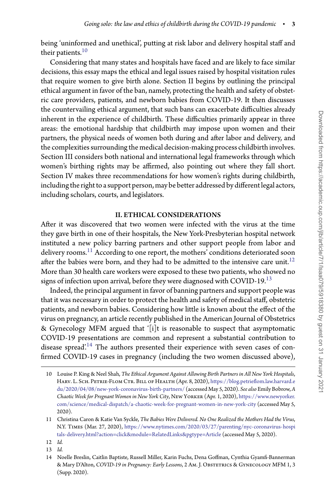being 'uninformed and unethical', putting at risk labor and delivery hospital staff and their patients.<sup>10</sup>

Considering that many states and hospitals have faced and are likely to face similar decisions, this essay maps the ethical and legal issues raised by hospital visitation rules that require women to give birth alone. Section II begins by outlining the principal ethical argument in favor of the ban, namely, protecting the health and safety of obstetric care providers, patients, and newborn babies from COVID-19. It then discusses the countervailing ethical argument, that such bans can exacerbate difficulties already inherent in the experience of childbirth. These difficulties primarily appear in three areas: the emotional hardship that childbirth may impose upon women and their partners, the physical needs of women both during and after labor and delivery, and the complexities surrounding the medical decision-making process childbirth involves. Section III considers both national and international legal frameworks through which women's birthing rights may be affirmed, also pointing out where they fall short. Section IV makes three recommendations for how women's rights during childbirth, including the right to a support person, may be better addressed by different legal actors, including scholars, courts, and legislators.

#### II. ETHICAL CONSIDERATIONS

After it was discovered that two women were infected with the virus at the time they gave birth in one of their hospitals, the New York-Presbyterian hospital network instituted a new policy barring partners and other support people from labor and delivery rooms.<sup>11</sup> According to one report, the mothers' conditions deteriorated soon after the babies were born, and they had to be admitted to the intensive care unit.<sup>[12](#page-2-2)</sup> More than 30 health care workers were exposed to these two patients, who showed no signs of infection upon arrival, before they were diagnosed with COVID-19. $^{13}$  $^{13}$  $^{13}$ 

Indeed, the principal argument in favor of banning partners and support people was that it was necessary in order to protect the health and safety of medical staff, obstetric patients, and newborn babies. Considering how little is known about the effect of the virus on pregnancy, an article recently published in the American Journal of Obstetrics & Gynecology MFM argued that '[i]t is reasonable to suspect that asymptomatic COVID-19 presentations are common and represent a substantial contribution to disease spread'.<sup>14</sup> The authors presented their experience with seven cases of confirmed COVID-19 cases in pregnancy (including the two women discussed above),

- 12 *Id.*
- <span id="page-2-2"></span>13 *Id.*

<span id="page-2-0"></span><sup>10</sup> Louise P. King & Neel Shah, *The Ethical Argument Against Allowing Birth Partners in All New York Hospitals*, HARV. L. SCH. PETRIE-FLOM CTR. BILL OF HEALTH (Apr. 8, 2020), [https://blog.petrieflom.law.harvard.e](https://blog.petrieflom.law.harvard.edu/2020/04/08/new-york-coronavirus-birth-partners/) [du/2020/04/08/new-york-coronavirus-birth-partners/](https://blog.petrieflom.law.harvard.edu/2020/04/08/new-york-coronavirus-birth-partners/) (accessed May 5, 2020). *See also* Emily Bobrow,*A Chaotic Week for Pregnant Women in New York City*, New Yorker (Apr. 1, 2020), [https://www.newyorker.](https://www.newyorker.com/science/medical-dispatch/a-chaotic-week-for-pregnant-women-in-new-york-city) [com/science/medical-dispatch/a-chaotic-week-for-pregnant-women-in-new-york-city](https://www.newyorker.com/science/medical-dispatch/a-chaotic-week-for-pregnant-women-in-new-york-city) (accessed May 5, 2020).

<span id="page-2-1"></span><sup>11</sup> Christina Caron & Katie Van Syckle, *The Babies Were Delivered. No One Realized the Mothers Had the Virus*, N.Y. Times (Mar. 27, 2020), [https://www.nytimes.com/2020/03/27/parenting/nyc-coronavirus-hospi](https://www.nytimes.com/2020/03/27/parenting/nyc-coronavirus-hospitals-delivery.html?action=click&module=RelatedLinks&pgtype=Article) [tals-delivery.html?action=click&module=RelatedLinks&pgtype=Article](https://www.nytimes.com/2020/03/27/parenting/nyc-coronavirus-hospitals-delivery.html?action=click&module=RelatedLinks&pgtype=Article) (accessed May 5, 2020).

<span id="page-2-4"></span><span id="page-2-3"></span><sup>14</sup> Noelle Breslin, Caitlin Baptiste, Russell Miller, Karin Fuchs, Dena Goffman, Cynthia Gyamfi-Bannerman & Mary D'Alton, *COVID-19 in Pregnancy: Early Lessons*, 2 Am. J. Obstetrics & Gynecology MFM 1, 3 (Supp. 2020).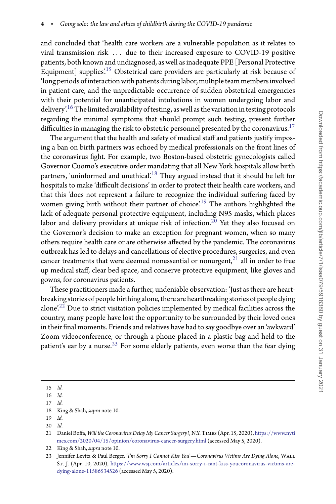and concluded that 'health care workers are a vulnerable population as it relates to viral transmission risk *...* due to their increased exposure to COVID-19 positive patients, both known and undiagnosed, as well as inadequate PPE [Personal Protective Equipment] supplies<sup>'15</sup> Obstetrical care providers are particularly at risk because of 'long periods of interaction with patients during labor, multipleteam members involved in patient care, and the unpredictable occurrence of sudden obstetrical emergencies with their potential for unanticipated intubations in women undergoing labor and delivery.<sup>[16](#page-3-1)</sup> The limited availability of testing, as well as the variation in testing protocols regarding the minimal symptoms that should prompt such testing, present further difficulties in managing the risk to obstetric personnel presented by the coronavirus.<sup>17</sup>

The argument that the health and safety of medical staff and patients justify imposing a ban on birth partners was echoed by medical professionals on the front lines of the coronavirus fight. For example, two Boston-based obstetric gynecologists called Governor Cuomo's executive order mandating that all New York hospitals allow birth partners, 'uninformed and unethical'.<sup>18</sup> They argued instead that it should be left for hospitals to make 'difficult decisions' in order to protect their health care workers, and that this 'does not represent a failure to recognize the individual suffering faced by women giving birth without their partner of choice'.<sup>19</sup> The authors highlighted the lack of adequate personal protective equipment, including N95 masks, which places labor and delivery providers at unique risk of infection.<sup>[20](#page-3-5)</sup> Yet they also focused on the Governor's decision to make an exception for pregnant women, when so many others require health care or are otherwise affected by the pandemic. The coronavirus outbreak has led to delays and cancellations of elective procedures, surgeries, and even cancer treatments that were deemed nonessential or nonurgent, $^{21}$  all in order to free up medical staff, clear bed space, and conserve protective equipment, like gloves and gowns, for coronavirus patients.

These practitioners made a further, undeniable observation: 'Just as there are heartbreaking stories of people birthing alone, there are heartbreaking stories of people dying alone.<sup>[22](#page-3-7)</sup> Due to strict visitation policies implemented by medical facilities across the country, many people have lost the opportunity to be surrounded by their loved ones in their final moments. Friends and relatives have had to say goodbye over an 'awkward' Zoom videoconference, or through a phone placed in a plastic bag and held to the patient's ear by a nurse. $^{23}$  $^{23}$  $^{23}$  For some elderly patients, even worse than the fear dying

<sup>15</sup> *Id.*

<span id="page-3-0"></span><sup>16</sup> *Id.*

<span id="page-3-1"></span><sup>17</sup> *Id.*

<span id="page-3-2"></span><sup>18</sup> King & Shah, *supra* note 10.

<span id="page-3-3"></span><sup>19</sup> *Id.*

<span id="page-3-4"></span><sup>20</sup> *Id.*

<span id="page-3-6"></span><span id="page-3-5"></span><sup>21</sup> Daniel Boffa, *Will the Coronavirus Delay My Cancer Surgery?*, N.Y. Times (Apr. 15, 2020), [https://www.nyti](https://www.nytimes.com/2020/04/15/opinion/coronavirus-cancer-surgery.html) [mes.com/2020/04/15/opinion/coronavirus-cancer-surgery.html](https://www.nytimes.com/2020/04/15/opinion/coronavirus-cancer-surgery.html) (accessed May 5, 2020).

<sup>22</sup> King & Shah, *supra* note 10.

<span id="page-3-8"></span><span id="page-3-7"></span><sup>23</sup> Jennifer Levitz & Paul Berger, '*I'm Sorry I Cannot Kiss You*'*—Coronavirus Victims Are Dying Alone*, Wall St. J. (Apr. 10, 2020), [https://www.wsj.com/articles/im-sorry-i-cant-kiss-youcoronavirus-victims-are](https://www.wsj.com/articles/im-sorry-i-cant-kiss-youcoronavirus-victims-are-dying-alone-11586534526)[dying-alone-11586534526](https://www.wsj.com/articles/im-sorry-i-cant-kiss-youcoronavirus-victims-are-dying-alone-11586534526) (accessed May 5, 2020).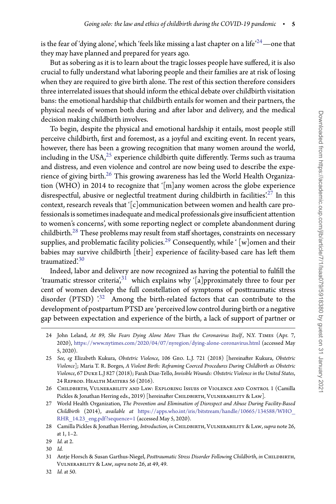is the fear of 'dying alone', which 'feels like missing a last chapter on a life'<sup>24</sup> —one that they may have planned and prepared for years ago.

But as sobering as it is to learn about the tragic losses people have suffered, it is also crucial to fully understand what laboring people and their families are at risk of losing when they are required to give birth alone. The rest of this section therefore considers three interrelated issues that should inform the ethical debate over childbirth visitation bans: the emotional hardship that childbirth entails for women and their partners, the physical needs of women both during and after labor and delivery, and the medical decision making childbirth involves.

To begin, despite the physical and emotional hardship it entails, most people still perceive childbirth, first and foremost, as a joyful and exciting event. In recent years, however, there has been a growing recognition that many women around the world, including in the USA, $^{25}$  $^{25}$  $^{25}$  experience childbirth quite differently. Terms such as trauma and distress, and even violence and control are now being used to describe the experience of giving birth.<sup>26</sup> This growing awareness has led the World Health Organization (WHO) in 2014 to recognize that '[m]any women across the globe experience disrespectful, abusive or neglectful treatment during childbirth in facilities.<sup>[27](#page-4-3)</sup> In this context, research reveals that  $\lceil c \rceil$ ommunication between women and health care professionals is sometimes inadequate and medical professionals give insufficient attention to women's concerns', with some reporting neglect or complete abandonment during childbirth. $^{28}$  $^{28}$  $^{28}$  These problems may result from staff shortages, constraints on necessary supplies, and problematic facility policies.<sup>29</sup> Consequently, while ' [w]omen and their babies may survive childbirth [their] experience of facility-based care has left them traumatized['.30](#page-4-6)

Indeed, labor and delivery are now recognized as having the potential to fulfill the 'traumatic stressor criteria', $3^1$  which explains why '[a]pproximately three to four per cent of women develop the full constellation of symptoms of posttraumatic stress disorder (PTSD)  $\cdot^{32}$  $\cdot^{32}$  $\cdot^{32}$  Among the birth-related factors that can contribute to the development of postpartum PTSD are 'perceived low control during birth or a negative gap between expectation and experience of the birth, a lack of support of partner or

<span id="page-4-0"></span><sup>24</sup> John Leland, *At 89, She Fears Dying Alone More Than the Coronavirus Itself* , N.Y. Times (Apr. 7, 2020), <https://www.nytimes.com/2020/04/07/nyregion/dying-alone-coronavirus.html> (accessed May 5, 2020).

<span id="page-4-1"></span><sup>25</sup> *See, eg* Elizabeth Kukura, *Obstetric Violence*, 106 Geo. L.J. 721 (2018) [hereinafter Kukura, *Obstetric Violence*]; Maria T. R. Borges, *A Violent Birth: Reframing Coerced Procedures During Childbirth as Obstetric Violence*, 67 Duke L.J 827 (2018); Farah Diaz-Tello, *Invisible Wounds: Obstetric Violence in the United States*, 24 Reprod. Health Matters 56 (2016).

<span id="page-4-2"></span><sup>26</sup> Childbirth, Vulnerability and Law: Exploring Issues of Violence and Control 1 (Camilla Pickles & Jonathan Herring eds., 2019) [hereinafter CHILDBIRTH, VULNERABILITY & LAW].

<span id="page-4-3"></span><sup>27</sup> World Health Organization, *The Prevention and Elimination of Disrespect and Abuse During Facility-Based Childbirth* (2014), *available at* [https://apps.who.int/iris/bitstream/handle/10665/134588/WHO\\_](https://apps.who.int/iris/bitstream/handle/10665/134588/WHO_RHR_14.23_eng.pdf?sequence=1) [RHR\\_14.23\\_eng.pdf?sequence=1](https://apps.who.int/iris/bitstream/handle/10665/134588/WHO_RHR_14.23_eng.pdf?sequence=1) (accessed May 5, 2020).

<span id="page-4-4"></span><sup>28</sup> Camilla Pickles & Jonathan Herring, *Introduction*, *in* Childbirth, Vulnerability & Law, *supra* note 26, at 1, 1–2.

<sup>29</sup> *Id.* at 2.

<span id="page-4-5"></span><sup>30</sup> *Id.*

<span id="page-4-7"></span><span id="page-4-6"></span><sup>31</sup> Antje Horsch & Susan Garthus-Niegel, *Posttraumatic Stress Disorder Following Childbirth*, *in* Childbirth, Vulnerability & Law, *supra* note 26, at 49, 49.

<span id="page-4-8"></span><sup>32</sup> *Id.* at 50.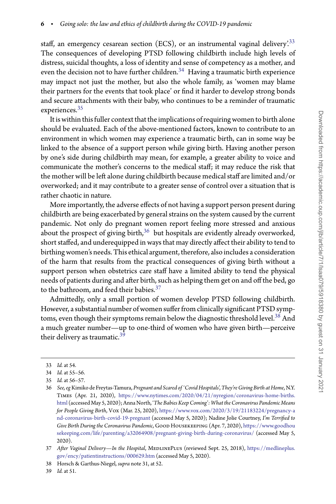staff, an emergency cesarean section (ECS), or an instrumental vaginal delivery.<sup>[33](#page-5-0)</sup> The consequences of developing PTSD following childbirth include high levels of distress, suicidal thoughts, a loss of identity and sense of competency as a mother, and even the decision not to have further children. $34$  Having a traumatic birth experience may impact not just the mother, but also the whole family, as 'women may blame their partners for the events that took place' or find it harder to develop strong bonds and secure attachments with their baby, who continues to be a reminder of traumatic experiences.<sup>35</sup>

It is within this fuller context that the implications of requiring women to birth alone should be evaluated. Each of the above-mentioned factors, known to contribute to an environment in which women may experience a traumatic birth, can in some way be linked to the absence of a support person while giving birth. Having another person by one's side during childbirth may mean, for example, a greater ability to voice and communicate the mother's concerns to the medical staff; it may reduce the risk that the mother will be left alone during childbirth because medical staff are limited and/or overworked; and it may contribute to a greater sense of control over a situation that is rather chaotic in nature.

More importantly, the adverse effects of not having a support person present during childbirth are being exacerbated by general strains on the system caused by the current pandemic. Not only do pregnant women report feeling more stressed and anxious about the prospect of giving birth, $36$  but hospitals are evidently already overworked, short staffed, and underequipped in ways that may directly affect their ability to tend to birthing women's needs. This ethical argument, therefore, also includes a consideration of the harm that results from the practical consequences of giving birth without a support person when obstetrics care staff have a limited ability to tend the physical needs of patients during and after birth, such as helping them get on and off the bed, go to the bathroom, and feed their babies.<sup>[37](#page-5-4)</sup>

Admittedly, only a small portion of women develop PTSD following childbirth. However, a substantial number of women suffer from clinically significant PTSD symptoms, even though their symptoms remain below the diagnostic threshold level.<sup>38</sup> And a much greater number—up to one-third of women who have given birth—perceive their delivery as traumatic.<sup>39</sup>

<sup>33</sup> *Id.* at 54.

<span id="page-5-0"></span><sup>34</sup> *Id.* at 55–56.

<span id="page-5-1"></span><sup>35</sup> *Id.* at 56–57.

<span id="page-5-3"></span><span id="page-5-2"></span><sup>36</sup> *See, eg* Kimiko de Freytas-Tamura,*Pregnant and Scared of* '*Covid Hospitals*',*They're Giving Birth at Home*, N.Y. Times (Apr. 21, 2020), [https://www.nytimes.com/2020/04/21/nyregion/coronavirus-home-births.](https://www.nytimes.com/2020/04/21/nyregion/coronavirus-home-births.html) [html](https://www.nytimes.com/2020/04/21/nyregion/coronavirus-home-births.html) (accessedMay 5, 2020); Anna North, '*The Babies Keep Coming*'*: What the Coronavirus Pandemic Means for People Giving Birth*, Vox (Mar. 25, 2020), [https://www.vox.com/2020/3/19/21183224/pregnancy-a](https://www.vox.com/2020/3/19/21183224/pregnancy-and-coronavirus-birth-covid-19-pregnant) [nd-coronavirus-birth-covid-19-pregnant](https://www.vox.com/2020/3/19/21183224/pregnancy-and-coronavirus-birth-covid-19-pregnant) (accessed May 5, 2020); Nadine Jolie Courtney, *I'm Terrified to Give Birth During the Coronavirus Pandemic*, Good Housekeeping (Apr. 7, 2020), [https://www.goodhou](https://www.goodhousekeeping.com/life/parenting/a32064908/pregnant-giving-birth-during-coronavirus/) [sekeeping.com/life/parenting/a32064908/pregnant-giving-birth-during-coronavirus/](https://www.goodhousekeeping.com/life/parenting/a32064908/pregnant-giving-birth-during-coronavirus/) (accessed May 5, 2020).

<span id="page-5-4"></span><sup>37</sup> After Vaginal Delivery-In the Hospital, MEDLINEPLUS (reviewed Sept. 25, 2018), [https://medlineplus.](https://medlineplus.gov/ency/patientinstructions/000629.htm) [gov/ency/patientinstructions/000629.htm](https://medlineplus.gov/ency/patientinstructions/000629.htm) (accessed May 5, 2020).

<sup>38</sup> Horsch & Garthus-Niegel, *supra* note 31, at 52.

<span id="page-5-6"></span><span id="page-5-5"></span><sup>39</sup> *Id.* at 51.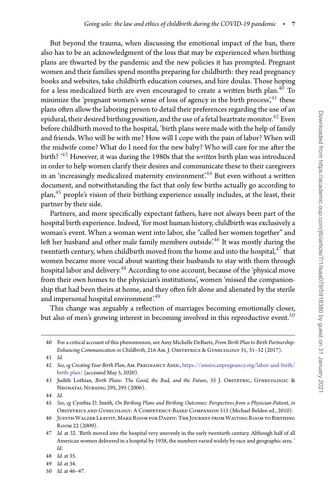But beyond the trauma, when discussing the emotional impact of the ban, there also has to be an acknowledgment of the loss that may be experienced when birthing plans are thwarted by the pandemic and the new policies it has prompted. Pregnant women and their families spend months preparing for childbirth: they read pregnancy books and websites, take childbirth education courses, and hire doulas. Those hoping for a less medicalized birth are even encouraged to create a written birth plan.<sup>[40](#page-6-0)</sup> To minimize the 'pregnant women's sense of loss of agency in the birth process', $^{41}$  $^{41}$  $^{41}$  these plans often allow the laboring person to detail their preferences regarding the use of an epidural, their desired birthing position, and the use of a fetal heartrate monitor.<sup>42</sup> Even before childbirth moved to the hospital, 'birth plans were made with the help of family and friends. Who will be with me? How will I cope with the pain of labor? When will the midwife come? What do I need for the new baby? Who will care for me after the birth? '[43](#page-6-3) However, it was during the 1980s that the *written* birth plan was introduced in order to help women clarify their desires and communicate these to their caregivers in an 'increasingly medicalized maternity environment'.<sup>44</sup> But even without a written document, and notwithstanding the fact that only few births actually go according to plan,[45](#page-6-5) people's vision of their birthing experience usually includes, at the least, their partner by their side.

Partners, and more specifically expectant fathers, have not always been part of the hospital birth experience. Indeed, 'for most human history, childbirth was exclusively a woman's event. When a woman went into labor, she "called her women together" and left her husband and other male family members outside.<sup>[46](#page-6-6)</sup> It was mostly during the twentieth century, when childbirth moved from the home and into the hospital, $47$  that women became more vocal about wanting their husbands to stay with them through hospital labor and delivery.<sup>[48](#page-6-8)</sup> According to one account, because of the 'physical move from their own homes to the physician's institutions', women 'missed the companionship that had been theirs at home, and they often felt alone and alienated by the sterile and impersonal hospital environment.<sup>49</sup>

This change was arguably a reflection of marriages becoming emotionally closer, but also of men's growing interest in becoming involved in this reproductive event.<sup>50</sup>

<span id="page-6-0"></span><sup>40</sup> For a critical account of this phenomenon, see Amy Michelle DeBaets, *From Birth Plan to Birth Partnership: Enhancing Communication in Childbirth, 216 Am. J. OBSTETRICS & GYNECOLOGY 31, 31-32 (2017).* 

<sup>41</sup> *Id*.

<span id="page-6-2"></span><span id="page-6-1"></span><sup>42</sup> *See, eg Creating Your Birth Plan*, Am. Pregnancy Assn., [https://americanpregnancy.org/labor-and-birth/](https://americanpregnancy.org/labor-and-birth/birth-plan/) [birth-plan/](https://americanpregnancy.org/labor-and-birth/birth-plan/) (accessed May 5, 2020).

<span id="page-6-3"></span><sup>43</sup> Judith Lothian, *Birth Plans: The Good, the Bad, and the Future*, 35 J. OBSTETRIC, GYNECOLOGIC & Neonatal Nursing 295, 295 (2006).

<sup>44</sup> *Id*.

<span id="page-6-5"></span><span id="page-6-4"></span><sup>45</sup> *See, eg* Cynthia D. Smith, *On Birthing Plans and Birthing Outcomes: Perspectives from a Physician-Patient*, *in* Obstetrics and Gynecology: A Competency-Based Companion 515 (Michael Belden ed., 2010).

<span id="page-6-6"></span><sup>46</sup> JudithWalzer Leavitt,Make Room for Daddy: The Journey fromWaiting Room to Birthing Room 22 (2009).

<span id="page-6-7"></span><sup>47</sup> *Id.* at 32. 'Birth moved into the hospital very unevenly in the early twentieth century. Although half of all American women delivered in a hospital by 1938, the numbers varied widely by race and geographic area. ' *Id.*

<sup>48</sup> *Id.* at 35.

<span id="page-6-8"></span><sup>49</sup> *Id.* at 34.

<span id="page-6-10"></span><span id="page-6-9"></span><sup>50</sup> *Id.* at 46–47.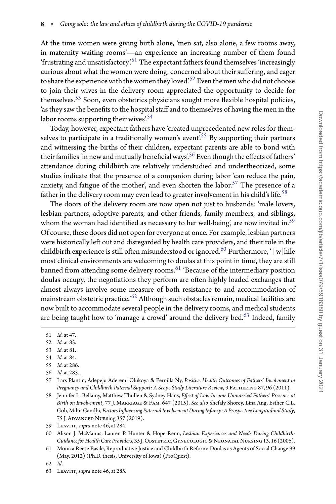At the time women were giving birth alone, 'men sat, also alone, a few rooms away, in maternity waiting rooms'—an experience an increasing number of them found 'frustrating and unsatisfactory'.<sup>51</sup> The expectant fathers found themselves 'increasingly curious about what the women were doing, concerned about their suffering, and eager to share the experience with the women they loved'.<sup>[52](#page-7-1)</sup> Even the men who did not choose to join their wives in the delivery room appreciated the opportunity to decide for themselves.<sup>[53](#page-7-2)</sup> Soon, even obstetrics physicians sought more flexible hospital policies, 'as they saw the benefits to the hospital staff and to themselves of having the men in the labor rooms supporting their wives'.<sup>[54](#page-7-3)</sup>

Today, however, expectant fathers have 'created unprecedented new roles for them-selves to participate in a traditionally women's event.<sup>[55](#page-7-4)5</sup> By supporting their partners and witnessing the births of their children, expectant parents are able to bond with their families 'in new and mutually beneficial ways['.56](#page-7-5) Even though the effects of fathers' attendance during childbirth are relatively understudied and undertheorized, some studies indicate that the presence of a companion during labor 'can reduce the pain, anxiety, and fatigue of the mother', and even shorten the labor.<sup>[57](#page-7-6)</sup> The presence of a father in the delivery room may even lead to greater involvement in his child's life.<sup>58</sup>

The doors of the delivery room are now open not just to husbands: 'male lovers, lesbian partners, adoptive parents, and other friends, family members, and siblings, whom the woman had identified as necessary to her well-being, are now invited in.<sup>59</sup> Of course, these doors did not open for everyone at once. For example, lesbian partners were historically left out and disregarded by health care providers, and their role in the childbirth experience is still often misunderstood or ignored.<sup>[60](#page-7-9)</sup> Furthermore,  $\int$  [w] hile most clinical environments are welcoming to doulas at this point in time', they are still banned from attending some delivery rooms.<sup>61</sup> 'Because of the intermediary position doulas occupy, the negotiations they perform are often highly loaded exchanges that almost always involve some measure of both resistance to and accommodation of mainstream obstetric practice.['62](#page-7-11) Although such obstacles remain, medical facilities are now built to accommodate several people in the delivery rooms, and medical students are being taught how to 'manage a crowd' around the delivery bed. $63$  Indeed, family

- <span id="page-7-2"></span>54 *Id.* at 84.
- <span id="page-7-3"></span>55 *Id.* at 286.
- <span id="page-7-4"></span>56 *Id.* at 285.

<span id="page-7-7"></span>58 Jennifer L. Bellamy, Matthew Thullen & Sydney Hans, *Effect of Low-Income Unmarried Fathers' Presence at Birth on Involvement*, 77 J. Marriage & Fam. 647 (2015). *See also* Shefaly Shorey, Lina Ang, Esther C.L. Goh,Mihir Gandhi, *Factors Influencing Paternal Involvement During Infancy: A Prospective Longitudinal Study*, 75 J. Advanced Nursing 357 (2019).

62 *Id*.

<sup>51</sup> *Id.* at 47.

<span id="page-7-0"></span><sup>52</sup> *Id.* at 85.

<span id="page-7-1"></span><sup>53</sup> *Id.* at 81.

<span id="page-7-6"></span><span id="page-7-5"></span><sup>57</sup> Lars Plantin, Adepeju Aderemi Olukoya & Pernilla Ny, *Positive Health Outcomes of Fathers' Involvment in Pregnancy and Childbirth Paternal Support: A Scope Study Literature Review*, 9 Fathering 87, 96 (2011).

<sup>59</sup> Leavitt, *supra* note 46, at 284.

<span id="page-7-9"></span><span id="page-7-8"></span><sup>60</sup> Alison J. McManus, Lauren P. Hunter & Hope Renn, *Lesbian Experiences and Needs During Childbirth: Guidance for Health Care Providers*, 35 J. Obstetric, Gynecologic & Neonatal Nursing 13, 16 (2006).

<span id="page-7-10"></span><sup>61</sup> Monica Reese Basile, Reproductive Justice and Childbirth Reform: Doulas as Agents of Social Change 99 (May, 2012) (Ph.D. thesis, University of Iowa) (ProQuest).

<span id="page-7-12"></span><span id="page-7-11"></span><sup>63</sup> Leavitt, *supra* note 46, at 285.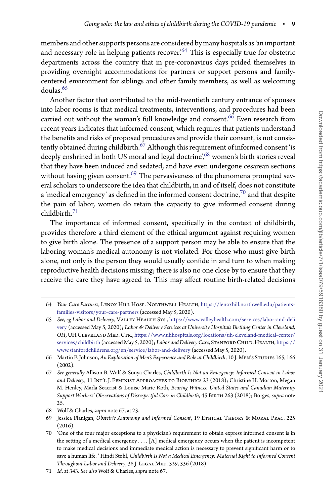members and other supports persons are considered by many hospitals as 'an important and necessary role in helping patients recover.<sup>64</sup> This is especially true for obstetric departments across the country that in pre-coronavirus days prided themselves in providing overnight accommodations for partners or support persons and familycentered environment for siblings and other family members, as well as welcoming doulas.<sup>65</sup>

Another factor that contributed to the mid-twentieth century entrance of spouses into labor rooms is that medical treatments, interventions, and procedures had been carried out without the woman's full knowledge and consent.<sup>66</sup> Even research from recent years indicates that informed consent, which requires that patients understand the benefits and risks of proposed procedures and provide their consent, is not consistently obtained during childbirth. $^{67}$  $^{67}$  $^{67}$  Although this requirement of informed consent 'is deeply enshrined in both US moral and legal doctrine'[,68](#page-8-4) women's birth stories reveal that they have been induced and sedated, and have even undergone cesarean sections without having given consent. $69$  The pervasiveness of the phenomena prompted several scholars to underscore the idea that childbirth, in and of itself, does not constitute a 'medical emergency' as defined in the informed consent doctrine, $70$  and that despite the pain of labor, women do retain the capacity to give informed consent during childbirth.[71](#page-8-7)

The importance of informed consent, specifically in the context of childbirth, provides therefore a third element of the ethical argument against requiring women to give birth alone. The presence of a support person may be able to ensure that the laboring woman's medical autonomy is not violated. For those who must give birth alone, not only is the person they would usually confide in and turn to when making reproductive health decisions missing; there is also no one close by to ensure that they receive the care they have agreed to. This may affect routine birth-related decisions

<span id="page-8-0"></span><sup>64</sup> *Your Care Partners*, Lenox Hill Hosp. Northwell Health, [https://lenoxhill.northwell.edu/patients](https://lenoxhill.northwell.edu/patients-families-visitors/your-care-partners)[families-visitors/your-care-partners](https://lenoxhill.northwell.edu/patients-families-visitors/your-care-partners) (accessed May 5, 2020).

<span id="page-8-1"></span><sup>65</sup> See, eg Labor and Delivery, VALLEY HEALTH SYS., [https://www.valleyhealth.com/services/labor-and-deli](https://www.valleyhealth.com/services/labor-and-delivery) [very](https://www.valleyhealth.com/services/labor-and-delivery) (accessed May 5, 2020); *Labor & Delivery Services at University Hospitals Birthing Center in Cleveland, OH*, UH Cleveland Med. Ctr., [https://www.uhhospitals.org/locations/uh-cleveland-medical-center/](https://www.uhhospitals.org/locations/uh-cleveland-medical-center/services/childbirth) [services/childbirth](https://www.uhhospitals.org/locations/uh-cleveland-medical-center/services/childbirth) (accessed May 5, 2020); *Labor and Delivery Care*, STANFORD CHILD. HEALTH, [https://](https://www.stanfordchildrens.org/en/service/labor-and-delivery) [www.stanfordchildrens.org/en/service/labor-and-delivery](https://www.stanfordchildrens.org/en/service/labor-and-delivery) (accessed May 5, 2020).

<span id="page-8-2"></span><sup>66</sup> Martin P. Johnson, *An Exploration of Men's Experience and Role at Childbirth*, 10 J. Men's Studies 165, 166 (2002).

<span id="page-8-3"></span><sup>67</sup> *See generally* Allison B. Wolf & Sonya Charles, *Childbirth Is Not an Emergency: Informed Consent in Labor* and Delivery, 11 In $\text{T}'$ L J. FEMINIST APPROACHES TO BIOETHICS 23 (2018); Christine H. Morton, Megan M. Henley, Marla Seacrist & Louise Marie Roth, *Bearing Witness: United States and Canadian Maternity Support Workers' Observations of Disrespectful Care in Childbirth*, 45 Birth 263 (2018); Borges, *supra* note  $2.5.$ 

<sup>68</sup> Wolf & Charles, *supra* note 67, at 23.

<span id="page-8-5"></span><span id="page-8-4"></span><sup>69</sup> Jessica Flanigan, *Obstetric Autonomy and Informed Consent*, 19 Ethical Theory & Moral Prac. 225  $(2016).$ 

<span id="page-8-6"></span><sup>70 &#</sup>x27;One of the four major exceptions to a physician's requirement to obtain express informed consent is in the setting of a medical emergency *...* . [A] medical emergency occurs when the patient is incompetent to make medical decisions and immediate medical action is necessary to prevent significant harm or to save a human life. ' Hindi Stohl, *Childbirth Is Not a Medical Emergency: Maternal Right to Informed Consent* Throughout Labor and Delivery, 38 J. LEGAL MED. 329, 336 (2018).

<span id="page-8-7"></span><sup>71</sup> *Id*. at 343. *See also* Wolf & Charles, *supra* note 67.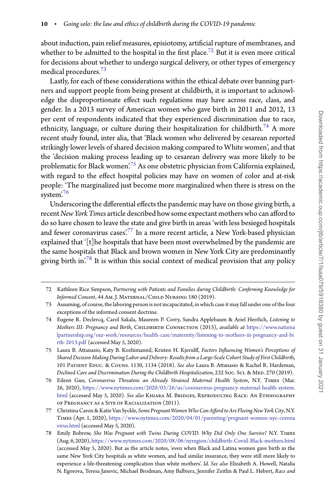about induction, pain relief measures, episiotomy, artificial rupture of membranes, and whether to be admitted to the hospital in the first place.<sup>72</sup> But it is even more critical for decisions about whether to undergo surgical delivery, or other types of emergency medical procedures.[73](#page-9-1)

Lastly, for each of these considerations within the ethical debate over banning partners and support people from being present at childbirth, it is important to acknowledge the disproportionate effect such regulations may have across race, class, and gender. In a 2013 survey of American women who gave birth in 2011 and 2012, 13 per cent of respondents indicated that they experienced discrimination due to race, ethnicity, language, or culture during their hospitalization for childbirth.<sup>[74](#page-9-2)</sup> A more recent study found, inter alia, that 'Black women who delivered by cesarean reported strikingly lower levels of shared decision making compared to White women', and that the 'decision making process leading up to cesarean delivery was more likely to be problematic for Black women.<sup>75</sup> As one obstetric physician from California explained, with regard to the effect hospital policies may have on women of color and at-risk people: 'The marginalized just become more marginalized when there is stress on the system<sup>'76</sup>

Underscoring the differential effects the pandemic may have on those giving birth, a recent *New York Times* article described how some expectant mothers who can affordto do so have chosen to leave the state and give birth in areas 'with less besieged hospitals and fewer coronavirus cases<sup>'[77](#page-9-5)</sup> In a more recent article, a New York-based physician explained that '[t]he hospitals that have been most overwhelmed by the pandemic are the same hospitals that Black and brown women in New York City are predominantly giving birth in['.78](#page-9-6) It is within this social context of medical provision that any policy

<span id="page-9-0"></span><sup>72</sup> Kathleen Rice Simpson, *Partnering with Patients and Families during Childbirth: Confirming Knowledge for Informed Consent*, 44 Am. J. Maternal/Child Nursing 180 (2019).

<span id="page-9-1"></span><sup>73</sup> Assuming, of course, the laboring person is not incapacitated, in which case it may fall under one of the four exceptions of the informed consent doctrine.

<span id="page-9-2"></span><sup>74</sup> Eugene R. Declercq, Carol Sakala, Maureen P. Corry, Sandra Applebaum & Ariel Herrlich, *Listening to Mothers III: Pregnancy and Birth, CHILDBIRTH CONNECTION (2013), available at [https://www.nationa](https://www.nationalpartnership.org/our-work/resources/health-care/maternity/listening-to-mothers-iii-pregnancy-and-birth-2013.pdf)* [lpartnership.org/our-work/resources/health-care/maternity/listening-to-mothers-iii-pregnancy-and-bi](https://www.nationalpartnership.org/our-work/resources/health-care/maternity/listening-to-mothers-iii-pregnancy-and-birth-2013.pdf) [rth-2013.pdf](https://www.nationalpartnership.org/our-work/resources/health-care/maternity/listening-to-mothers-iii-pregnancy-and-birth-2013.pdf) (accessed May 5, 2020).

<span id="page-9-3"></span><sup>75</sup> Laura B. Attanasio, Katy B. Kozhimannil, Kristen H. Kjerulff, *Factors Influencing Women's Perceptions of Shared Decision Making During Labor and Delivery: Results from a Large-Scale Cohort Study of First Childbirth*, 101 Patient Educ. & Couns. 1130, 1134 (2018). *See also* Laura B. Attanasio & Rachel R. Hardeman, Declined Care and Discrimination During the Childbirth Hospitalization, 232 Soc. Sci. & MED. 270 (2019).

<span id="page-9-4"></span><sup>76</sup> Eileen Guo, *Coronavirus Threatens an Already Strained Maternal Health System*, N.Y. Times (Mar. 26, 2020), [https://www.nytimes.com/2020/03/26/us/coronavirus-pregnancy-maternal-health-system.](https://www.nytimes.com/2020/03/26/us/coronavirus-pregnancy-maternal-health-system.html) [html](https://www.nytimes.com/2020/03/26/us/coronavirus-pregnancy-maternal-health-system.html) (accessed May 5, 2020). *See also* Khiara M. Bridges, Reproducing Race: An Ethnography of Pregnancy as a Site of Racialization (2011).

<span id="page-9-5"></span><sup>77</sup> ChristinaCaron &Katie Van Syckle, *Some PregnantWomenWho Can Affordto Are Fleeing New York City*, N.Y. Times (Apr. 1, 2020), [https://www.nytimes.com/2020/04/01/parenting/pregnant-women-nyc-corona](https://www.nytimes.com/2020/04/01/parenting/pregnant-women-nyc-coronavirus.html) [virus.html](https://www.nytimes.com/2020/04/01/parenting/pregnant-women-nyc-coronavirus.html) (accessed May 5, 2020).

<span id="page-9-6"></span><sup>78</sup> Emily Bobrow, *She Was Pregnant with Twins During COVID. Why Did Only One Survive?* N.Y. Times (Aug. 6, 2020), <https://www.nytimes.com/2020/08/06/nyregion/childbirth-Covid-Black-mothers.html> (accessed May 5, 2020). But as the article notes, 'even when Black and Latina women gave birth in the same New York City hospitals as white women, and had similar insurance, they were still more likely to experience a life-threatening complication than white mothers'. *Id*. *See also* Elizabeth A. Howell, Natalia N. Egorova, Teresa Janevic, Michael Brodman, Amy Balbierz, Jennifer Zeitlin & Paul L. Hebert, *Race and*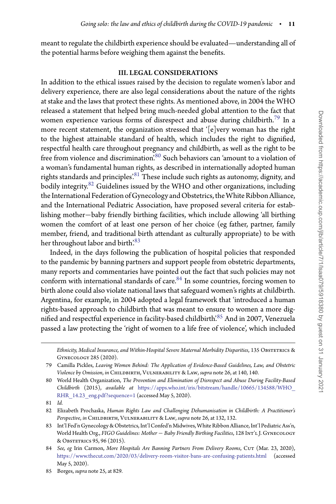meant to regulate the childbirth experience should be evaluated—understanding all of the potential harms before weighing them against the benefits.

## III. LEGAL CONSIDERATIONS

In addition to the ethical issues raised by the decision to regulate women's labor and delivery experience, there are also legal considerations about the nature of the rights at stake and the laws that protect these rights. As mentioned above, in 2004 the WHO released a statement that helped bring much-needed global attention to the fact that women experience various forms of disrespect and abuse during childbirth.<sup>[79](#page-10-0)</sup> In a more recent statement, the organization stressed that '[e]very woman has the right to the highest attainable standard of health, which includes the right to dignified, respectful health care throughout pregnancy and childbirth, as well as the right to be free from violence and discrimination.<sup>80</sup> Such behaviors can 'amount to a violation of a woman's fundamental human rights, as described in internationally adopted human rights standards and principles.<sup>81</sup> These include such rights as autonomy, dignity, and bodily integrity.<sup>82</sup> Guidelines issued by the WHO and other organizations, including the International Federation of Gynecology and Obstetrics, the White Ribbon Alliance, and the International Pediatric Association, have proposed several criteria for establishing mother−baby friendly birthing facilities, which include allowing 'all birthing women the comfort of at least one person of her choice (eg father, partner, family member, friend, and traditional birth attendant as culturally appropriate) to be with her throughout labor and birth.<sup>83</sup>

Indeed, in the days following the publication of hospital policies that responded to the pandemic by banning partners and support people from obstetric departments, many reports and commentaries have pointed out the fact that such policies may not conform with international standards of care.<sup>84</sup> In some countries, forcing women to birth alone could also violate national laws that safeguard women's rights at childbirth. Argentina, for example, in 2004 adopted a legal framework that 'introduced a human rights-based approach to childbirth that was meant to ensure to women a more dig-nified and respectful experience in facility-based childbirth<sup>2[85](#page-10-6)</sup> And in 2007, Venezuela passed a law protecting the 'right of women to a life free of violence', which included

Ethnicity, Medical Insurance, and Within-Hospital Severe Maternal Morbidity Disparities, 135 OBSTETRICS & Gynecology 285 (2020).

<span id="page-10-0"></span><sup>79</sup> Camilla Pickles, *Leaving Women Behind: The Application of Evidence-Based Guidelines, Law, and Obstetric Violence by Omission*, *in* Childbirth, Vulnerability & Law, *supra* note 26, at 140, 140.

<span id="page-10-1"></span><sup>80</sup> World Health Organization, *The Prevention and Elimination of Disrespect and Abuse During Facility-Based Childbirth* (2015), *available at* [https://apps.who.int/iris/bitstream/handle/10665/134588/WHO\\_](https://apps.who.int/iris/bitstream/handle/10665/134588/WHO_RHR_14.23_eng.pdf?sequence=1) [RHR\\_14.23\\_eng.pdf?sequence=1](https://apps.who.int/iris/bitstream/handle/10665/134588/WHO_RHR_14.23_eng.pdf?sequence=1) (accessed May 5, 2020).

<sup>81</sup> *Id.*

<span id="page-10-3"></span><span id="page-10-2"></span><sup>82</sup> Elizabeth Prochaska, *Human Rights Law and Challenging Dehumanisation in Childbirth: A Practitioner's Perspective*, *in* Childbirth, Vulnerability & Law, *supra* note 26, at 132, 132.

<span id="page-10-4"></span><sup>83</sup> Int'l Fed'n Gynecology & Obstetrics, Int'l Confed'n Midwives, White Ribbon Alliance, Int'l Pediatric Ass'n, World Health Org., *FIGO Guidelines: Mother* − *Baby Friendly Birthing Facilities*, 128 Int'l J. Gynecology & Obstetrics 95, 96 (2015).

<span id="page-10-5"></span><sup>84</sup> See, eg Irin Carmon, More Hospitals Are Banning Partners From Delivery Rooms, CUT (Mar. 23, 2020), <https://www.thecut.com/2020/03/delivery-room-visitor-bans-are-confusing-patients.html> (accessed May 5, 2020).

<span id="page-10-6"></span><sup>85</sup> Borges, *supra* note 25, at 829*.*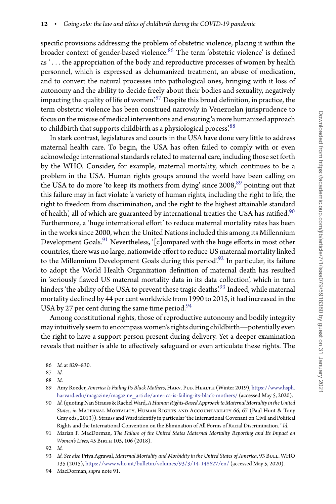specific provisions addressing the problem of obstetric violence, placing it within the broader context of gender-based violence.<sup>86</sup> The term 'obstetric violence' is defined as ' *...* the appropriation of the body and reproductive processes of women by health personnel, which is expressed as dehumanized treatment, an abuse of medication, and to convert the natural processes into pathological ones, bringing with it loss of autonomy and the ability to decide freely about their bodies and sexuality, negatively impacting the quality of life of women'.[87](#page-11-1) Despite this broad definition, in practice, the term obstetric violence has been construed narrowly in Venezuelan jurisprudence to focus onthe misuse of medical interventions and ensuring 'a more humanized approach to childbirth that supports childbirth as a physiological process'.<sup>[88](#page-11-2)</sup>

In stark contrast, legislatures and courts in the USA have done very little to address maternal health care. To begin, the USA has often failed to comply with or even acknowledge international standards related to maternal care, including those set forth by the WHO. Consider, for example, maternal mortality, which continues to be a problem in the USA. Human rights groups around the world have been calling on the USA to do more 'to keep its mothers from dying' since  $2008$ ,  $89$  pointing out that this failure may in fact violate 'a variety of human rights, including the right to life, the right to freedom from discrimination, and the right to the highest attainable standard of health', all of which are guaranteed by international treaties the USA has ratified.<sup>90</sup> Furthermore, a 'huge international effort' to reduce maternal mortality rates has been in the works since 2000, when the United Nations included this among its Millennium Development Goals.<sup>[91](#page-11-5)</sup> Nevertheless,  $\lceil c \rceil$ ompared with the huge efforts in most other countries, there was no large, nationwide effort to reduce US maternal mortality linked to the Millennium Development Goals during this period.<sup>92</sup> In particular, its failure to adopt the World Health Organization definition of maternal death has resulted in 'seriously flawed US maternal mortality data in its data collection', which in turn hinders 'the ability of the USA to prevent these tragic deaths'.<sup>93</sup> Indeed, while maternal mortality declined by 44 per cent worldwide from 1990 to 2015, it had increased in the USA by 27 per cent during the same time period.  $94$ 

Among constitutional rights, those of reproductive autonomy and bodily integrity may intuitively seemto encompass women's rights during childbirth—potentially even the right to have a support person present during delivery. Yet a deeper examination reveals that neither is able to effectively safeguard or even articulate these rights. The

<sup>86</sup> *Id.* at 829–830.

<span id="page-11-0"></span><sup>87</sup> *Id*.

<span id="page-11-1"></span><sup>88</sup> *Id*.

<span id="page-11-3"></span><span id="page-11-2"></span><sup>89</sup> Amy Roeder, *America Is Failing Its Black Mothers*, Harv. Pub. Health (Winter 2019), [https://www.hsph.](https://www.hsph.harvard.edu/magazine/magazine_article/america-is-failing-its-black-mothers/) [harvard.edu/magazine/magazine\\_article/america-is-failing-its-black-mothers/](https://www.hsph.harvard.edu/magazine/magazine_article/america-is-failing-its-black-mothers/) (accessed May 5, 2020).

<span id="page-11-4"></span><sup>90</sup> *Id.* (quoting Nan Strauss & RachelWard,*A Human Rights-Based Approachto Maternal Mortality inthe United States*, *in* Maternal Mortality, Human Rights and Accountability 66, 67 (Paul Hunt & Tony Gray eds., 2013)). Strauss and Ward identify in particular 'the International Covenant on Civil and Political Rights and the International Convention on the Elimination of All Forms of Racial Discrimination. ' *Id.*

<span id="page-11-5"></span><sup>91</sup> Marian F. MacDorman, *The Failure of the United States Maternal Mortality Reporting and Its Impact on Women's Lives*, 45 BIRTH 105, 106 (2018).

<sup>92</sup> *Id.*

<span id="page-11-7"></span><span id="page-11-6"></span><sup>93</sup> *Id. See also* Priya Agrawal, *Maternal Mortality and Morbidity in the United States of America*, 93 Bull. WHO 135 (2015), <https://www.who.int/bulletin/volumes/93/3/14-148627/en/> (accessed May 5, 2020).

<span id="page-11-8"></span><sup>94</sup> MacDorman, *supra* note 91.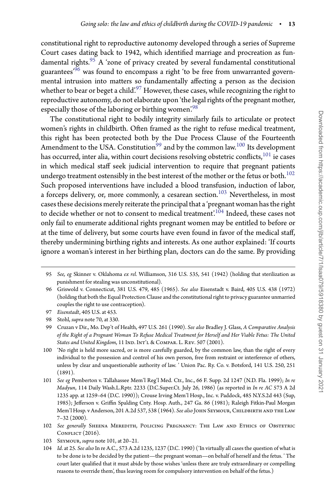constitutional right to reproductive autonomy developed through a series of Supreme Court cases dating back to 1942, which identified marriage and procreation as fundamental rights.<sup>95</sup> A 'zone of privacy created by several fundamental constitutional guarantees' $96$  was found to encompass a right 'to be free from unwarranted governmental intrusion into matters so fundamentally affecting a person as the decision whether to bear or beget a child.<sup>[97](#page-12-2)</sup> However, these cases, while recognizing the right to reproductive autonomy, do not elaborate upon 'the legal rights of the pregnant mother, especially those of the laboring or birthing women.<sup>98</sup>

The constitutional right to bodily integrity similarly fails to articulate or protect women's rights in childbirth. Often framed as the right to refuse medical treatment, this right has been protected both by the Due Process Clause of the Fourteenth Amendment to the USA. Constitution<sup>99</sup> and by the common law.<sup>100</sup> Its development has occurred, inter alia, within court decisions resolving obstetric conflicts, <sup>101</sup> ie cases in which medical staff seek judicial intervention to require that pregnant patients undergo treatment ostensibly in the best interest of the mother or the fetus or both. $^{102}$ Such proposed interventions have included a blood transfusion, induction of labor, a forceps delivery, or, more commonly, a cesarean section.<sup>[103](#page-12-8)</sup> Nevertheless, in most cases these decisions merely reiterate the principal that a 'pregnant woman has the right to decide whether or not to consent to medical treatment.<sup>104</sup> Indeed, these cases not only fail to enumerate additional rights pregnant women may be entitled to before or at the time of delivery, but some courts have even found in favor of the medical staff, thereby undermining birthing rights and interests. As one author explained: 'If courts ignore a woman's interest in her birthing plan, doctors can do the same. By providing

<span id="page-12-0"></span><sup>95</sup> *See, eg* Skinner v. Oklahoma *ex rel.* Williamson, 316 U.S. 535, 541 (1942) (holding that sterilization as punishment for stealing was unconstitutional).

<span id="page-12-1"></span><sup>96</sup> Griswold v. Connecticut, 381 U.S. 479, 485 (1965). *See also* Eisenstadt v. Baird, 405 U.S. 438 (1972) (holding that both the Equal Protection Clause and the constitutional right to privacy guarantee unmarried couples the right to use contraception).

<sup>97</sup> *Eisenstadt*, 405 U.S. at 453.

<span id="page-12-2"></span><sup>98</sup> Stohl, *supra* note 70, at 330.

<span id="page-12-4"></span><span id="page-12-3"></span><sup>99</sup> Cruzan v Dir., Mo. Dep't of Health, 497 U.S. 261 (1990). *See also* Bradley J. Glass, *A Comparative Analysis of the Right of a Pregnant Woman To Refuse Medical Treatment for Herself and Her Viable Fetus: The United* States and United Kingdom, 11 IND. INT'L & COMPAR. L. REV. 507 (2001).

<span id="page-12-5"></span><sup>100 &#</sup>x27;No right is held more sacred, or is more carefully guarded, by the common law, than the right of every individual to the possession and control of his own person, free from restraint or interference of others, unless by clear and unquestionable authority of law. ' Union Pac. Ry. Co. v. Botsford, 141 U.S. 250, 251 (1891).

<span id="page-12-6"></span><sup>101</sup> *See eg* Pemberton v. Tallahassee Mem'l Reg'l Med. Ctr., Inc., 66 F. Supp. 2d 1247 (N.D. Fla. 1999); *In re Madyun*, 114 Daily Wash.L.Rptr. 2233 (D.C.Super.Ct. July 26, 1986) (as reported in *In re AC* 573 A 2d 1235 app. at 1259–64 (D.C. 1990)); Crouse Irving Mem'l Hosp., Inc. v. Paddock, 485 N.Y.S.2d 443 (Sup, 1985); Jefferson v. Griffin Spalding Cnty. Hosp. Auth., 247 Ga. 86 (1981); Raleigh Fitkin-Paul Morgan Mem'l Hosp. v Anderson, 201 A.2d 537, 538 (1964). *See also* John Seymour, Childbirth and the Law 7–32 (2000).

<span id="page-12-7"></span><sup>102</sup> *See generally* Sheena Meredith, Policing Pregnancy: The Law and Ethics of Obstetric CONFLICT (2016).

<sup>103</sup> Seymour, *supra* note 101, at 20–21.

<span id="page-12-9"></span><span id="page-12-8"></span><sup>104</sup> *Id*. at 25. *See also* In re A.C., 573 A.2d 1235, 1237 (D.C. 1990) ('In virtually all cases the question of what is to be done is to be decided by the patient—the pregnant woman—on behalf of herself and the fetus. ' The court later qualified that it must abide by those wishes 'unless there are truly extraordinary or compelling reasons to override them', thus leaving room for compulsory intervention on behalf of the fetus.)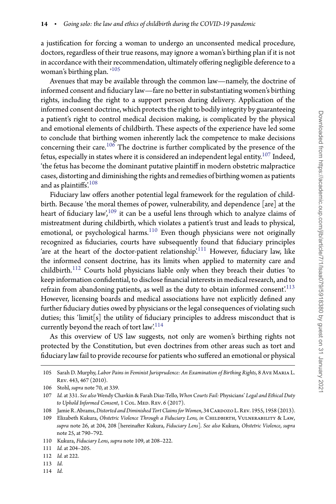a justification for forcing a woman to undergo an unconsented medical procedure, doctors, regardless of their true reasons, may ignore a woman's birthing plan if it is not in accordance with their recommendation, ultimately offering negligible deference to a woman's birthing plan. '[105](#page-13-0)

Avenues that may be available through the common law—namely, the doctrine of informed consent and fiduciary law—fare no better in substantiating women's birthing rights, including the right to a support person during delivery. Application of the informed consent doctrine, which protects the right to bodily integrity by guaranteeing a patient's right to control medical decision making, is complicated by the physical and emotional elements of childbirth. These aspects of the experience have led some to conclude that birthing women inherently lack the competence to make decisions concerning their care.[106](#page-13-1) The doctrine is further complicated by the presence of the fetus, especially in states where it is considered an independent legal entity.<sup>107</sup> Indeed, 'the fetus has become the dominant putative plaintiff in modern obstetric malpractice cases, distorting and diminishing the rights and remedies of birthing women as patients and as plaintiffs['.108](#page-13-3)

Fiduciary law offers another potential legal framework for the regulation of childbirth. Because 'the moral themes of power, vulnerability, and dependence [are] at the heart of fiduciary law',  $109$  it can be a useful lens through which to analyze claims of mistreatment during childbirth, which violates a patient's trust and leads to physical, emotional, or psychological harms. $110$  Even though physicians were not originally recognized as fiduciaries, courts have subsequently found that fiduciary principles 'are at the heart of the doctor-patient relationship'.<sup>111</sup> However, fiduciary law, like the informed consent doctrine, has its limits when applied to maternity care and childbirth.[112](#page-13-7) Courts hold physicians liable only when they breach their duties 'to keep information confidential, to disclose financial interests in medical research, and to refrain from abandoning patients, as well as the duty to obtain informed consent.<sup>[113](#page-13-8)</sup> However, licensing boards and medical associations have not explicitly defined any further fiduciary duties owed by physicians or the legal consequences of violating such duties; this 'limit[s] the utility of fiduciary principles to address misconduct that is currently beyond the reach of tort law.<sup>[114](#page-13-9)</sup>

As this overview of US law suggests, not only are women's birthing rights not protected by the Constitution, but even doctrines from other areas such as tort and fiduciary law fail to provide recourse for patients who suffered an emotional or physical

<span id="page-13-0"></span><sup>105</sup> Sarah D. Murphy, *Labor Pains in Feminist Jurisprudence: An Examination of Birthing Rights*, 8 Ave Maria L. Rev. 443, 467 (2010).

<sup>106</sup> Stohl, *supra* note 70, at 339.

<span id="page-13-2"></span><span id="page-13-1"></span><sup>107</sup> *Id.* at 331. *See also* Wendy Chavkin & Farah Diaz-Tello, *When Courts Fail:* Physicians' *Legal and Ethical Duty* to Uphold Informed Consent, 1 COL. MED. REV. 6 (2017).

<sup>108</sup> Jamie R. Abrams, Distorted and Diminished Tort Claims for Women, 34 CARDOZO L. REV. 1955, 1958 (2013).

<span id="page-13-4"></span><span id="page-13-3"></span><sup>109</sup> Elizabeth Kukura, *Obstetric Violence Through a Fiduciary Lens, in* Childbirth, Vulnerability & Law, *supra* note 26, at 204, 208 [hereinafter Kukura, *Fiduciary Lens*]. *See also* Kukura, *Obstetric Violence*, *supra* note 25, at 790–792.

<sup>110</sup> Kukura, *Fiduciary Lens*, *supra* note 109, at 208–222.

<span id="page-13-5"></span><sup>111</sup> *Id.* at 204–205.

<span id="page-13-6"></span><sup>112</sup> *Id.* at 222.

<span id="page-13-7"></span><sup>113</sup> *Id*.

<span id="page-13-9"></span><span id="page-13-8"></span><sup>114</sup> *Id*.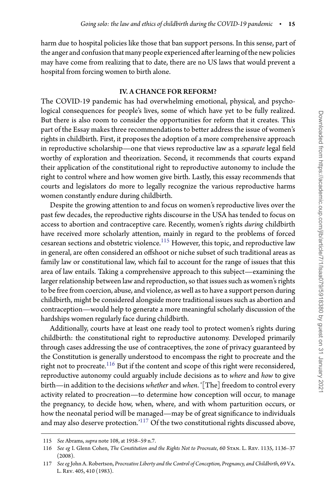harm due to hospital policies like those that ban support persons. In this sense, part of the anger and confusion that many people experienced after learning of the new policies may have come from realizing that to date, there are no US laws that would prevent a hospital from forcing women to birth alone.

#### IV. A CHANCE FOR REFORM?

The COVID-19 pandemic has had overwhelming emotional, physical, and psychological consequences for people's lives, some of which have yet to be fully realized. But there is also room to consider the opportunities for reform that it creates. This part of the Essay makes three recommendations to better address the issue of women's rights in childbirth. First, it proposes the adoption of a more comprehensive approach in reproductive scholarship—one that views reproductive law as a *separate* legal field worthy of exploration and theorization. Second, it recommends that courts expand their application of the constitutional right to reproductive autonomy to include the right to control where and how women give birth. Lastly, this essay recommends that courts and legislators do more to legally recognize the various reproductive harms women constantly endure during childbirth.

Despite the growing attention to and focus on women's reproductive lives over the past few decades, the reproductive rights discourse in the USA has tended to focus on access to abortion and contraceptive care. Recently, women's rights *during* childbirth have received more scholarly attention, mainly in regard to the problems of forced cesarean sections and obstetric violence.<sup>115</sup> However, this topic, and reproductive law in general, are often considered an offshoot or niche subset of such traditional areas as family law or constitutional law, which fail to account for the range of issues that this area of law entails. Taking a comprehensive approach to this subject—examining the larger relationship between law and reproduction, so that issues such as women's rights to be free from coercion, abuse, and violence, as well as to have a support person during childbirth, might be considered alongside more traditional issues such as abortion and contraception—would help to generate a more meaningful scholarly discussion of the hardships women regularly face during childbirth.

Additionally, courts have at least one ready tool to protect women's rights during childbirth: the constitutional right to reproductive autonomy. Developed primarily through cases addressing the use of contraceptives, the zone of privacy guaranteed by the Constitution is generally understood to encompass the right to procreate and the right not to procreate.<sup>[116](#page-14-1)</sup> But if the content and scope of this right were reconsidered, reproductive autonomy could arguably include decisions as to *where* and *how* to give birth—in addition to the decisions *whether* and *when*. '[The] freedom to control every activity related to procreation—to determine how conception will occur, to manage the pregnancy, to decide how, when, where, and with whom parturition occurs, or how the neonatal period will be managed—may be of great significance to individuals and may also deserve protection.<sup>['117](#page-14-2)</sup> Of the two constitutional rights discussed above,

<sup>115</sup> *See* Abrams, *supra* note 108, at 1958–59 n.7.

<span id="page-14-1"></span><span id="page-14-0"></span><sup>116</sup> *See eg* I. Glenn Cohen, *The Constitution and the Rights Not to Procreate*, 60 Stan. L. Rev. 1135, 1136–37 (2008).

<span id="page-14-2"></span><sup>117</sup> *See eg* John A. Robertson, *Procreative Liberty and the Control of Conception, Pregnancy, and Childbirth*, 69 Va. L. Rev. 405, 410 (1983).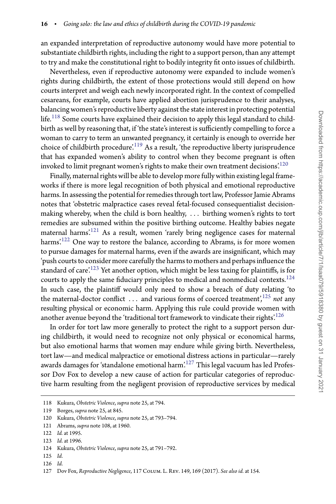an expanded interpretation of reproductive autonomy would have more potential to substantiate childbirth rights, including the right to a support person, than any attempt to try and make the constitutional right to bodily integrity fit onto issues of childbirth.

Nevertheless, even if reproductive autonomy were expanded to include women's rights during childbirth, the extent of those protections would still depend on how courts interpret and weigh each newly incorporated right. In the context of compelled cesareans, for example, courts have applied abortion jurisprudence to their analyses, balancing women's reproductive liberty against the state interest in protecting potential life.<sup>[118](#page-15-0)</sup> Some courts have explained their decision to apply this legal standard to childbirth as well by reasoning that, if 'the state's interest is sufficiently compelling to force a woman to carry to term an unwanted pregnancy, it certainly is enough to override her choice of childbirth procedure.<sup>[119](#page-15-1)</sup> As a result, 'the reproductive liberty jurisprudence that has expanded women's ability to control when they become pregnant is often invoked to limit pregnant women's rights to make their own treatment decisions'.<sup>[120](#page-15-2)</sup>

Finally, maternal rights will be able to develop more fully within existing legal frameworks if there is more legal recognition of both physical and emotional reproductive harms. In assessing the potential for remedies through tort law, Professor Jamie Abrams notes that 'obstetric malpractice cases reveal fetal-focused consequentialist decisionmaking whereby, when the child is born healthy, *...* birthing women's rights to tort remedies are subsumed within the positive birthing outcome. Healthy babies negate maternal harms'.[121](#page-15-3) As a result, women 'rarely bring negligence cases for maternal harms'.<sup>[122](#page-15-4)</sup> One way to restore the balance, according to Abrams, is for more women to pursue damages for maternal harms, even if the awards are insignificant, which may 'push courts to consider more carefully the harms to mothers and perhaps influence the standard of care.<sup>[123](#page-15-5)</sup> Yet another option, which might be less taxing for plaintiffs, is for courts to apply the same fiduciary principles to medical and nonmedical contexts.<sup>[124](#page-15-6)</sup> In such case, the plaintiff would only need to show a breach of duty relating 'to the maternal-doctor conflict ... and various forms of coerced treatment',<sup>[125](#page-15-7)</sup> *not* any resulting physical or economic harm. Applying this rule could provide women with another avenue beyond the 'traditional tort framework to vindicate their rights.<sup>126</sup>

In order for tort law more generally to protect the right to a support person during childbirth, it would need to recognize not only physical or economical harms, but also emotional harms that women may endure while giving birth. Nevertheless, tort law—and medical malpractice or emotional distress actions in particular—rarely awards damages for 'standalone emotional harm['.127](#page-15-9) This legal vacuum has led Professor Dov Fox to develop a new cause of action for particular categories of reproductive harm resulting from the negligent provision of reproductive services by medical

<span id="page-15-7"></span>126 *Id*.

<sup>118</sup> Kukura, *Obstetric Violence*, *supra* note 25, at 794.

<span id="page-15-0"></span><sup>119</sup> Borges, *supra* note 25, at 845.

<span id="page-15-1"></span><sup>120</sup> Kukura, *Obstetric Violence*, *supra* note 25, at 793–794.

<span id="page-15-2"></span><sup>121</sup> Abrams, *supra* note 108, at 1960.

<span id="page-15-3"></span><sup>122</sup> *Id.* at 1995.

<span id="page-15-4"></span><sup>123</sup> *Id*. at 1996.

<span id="page-15-5"></span><sup>124</sup> Kukura, *Obstetric Violence*, *supra* note 25, at 791–792.

<span id="page-15-6"></span><sup>125</sup> *Id*.

<span id="page-15-9"></span><span id="page-15-8"></span><sup>127</sup> Dov Fox, *Reproductive Negligence*, 117 Colum. L. Rev. 149, 169 (2017). *See also id.* at 154.